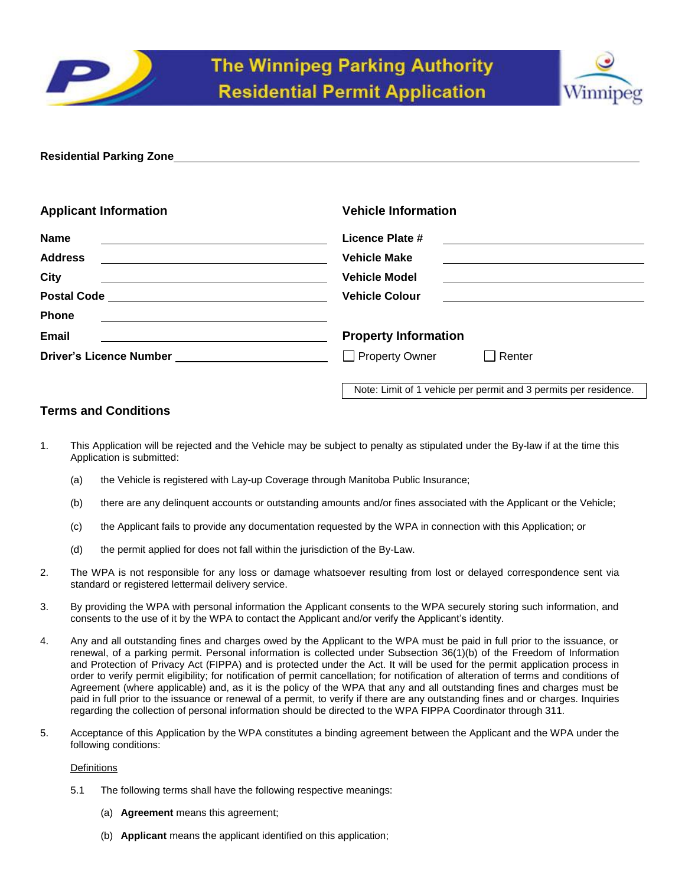



| <b>Vehicle Information</b>                                                                                                                     |
|------------------------------------------------------------------------------------------------------------------------------------------------|
| Licence Plate #<br><u> 1989 - Johann Stoff, deutscher Stoff, der Stoff, der Stoff, der Stoff, der Stoff, der Stoff, der Stoff, der S</u>       |
| <b>Vehicle Make</b><br><u> 1989 - Johann Barbara, martin amerikan basal dan berasal dan berasal dalam basal dalam basal dalam basal dala</u>   |
| <b>Vehicle Model</b><br><u> 1989 - Johann Stoff, deutscher Stoffen und der Stoffen und der Stoffen und der Stoffen und der Stoffen und der</u> |
| <b>Vehicle Colour</b>                                                                                                                          |
|                                                                                                                                                |
| <b>Property Information</b>                                                                                                                    |
| Driver's Licence Number _________________________<br>Property Owner<br>Renter                                                                  |
|                                                                                                                                                |

Note: Limit of 1 vehicle per permit and 3 permits per residence.

# **Terms and Conditions**

- 1. This Application will be rejected and the Vehicle may be subject to penalty as stipulated under the By-law if at the time this Application is submitted:
	- (a) the Vehicle is registered with Lay-up Coverage through Manitoba Public Insurance;
	- (b) there are any delinquent accounts or outstanding amounts and/or fines associated with the Applicant or the Vehicle;
	- (c) the Applicant fails to provide any documentation requested by the WPA in connection with this Application; or
	- (d) the permit applied for does not fall within the jurisdiction of the By-Law.
- 2. The WPA is not responsible for any loss or damage whatsoever resulting from lost or delayed correspondence sent via standard or registered lettermail delivery service.
- 3. By providing the WPA with personal information the Applicant consents to the WPA securely storing such information, and consents to the use of it by the WPA to contact the Applicant and/or verify the Applicant's identity.
- 4. Any and all outstanding fines and charges owed by the Applicant to the WPA must be paid in full prior to the issuance, or renewal, of a parking permit. Personal information is collected under Subsection 36(1)(b) of the Freedom of Information and Protection of Privacy Act (FIPPA) and is protected under the Act. It will be used for the permit application process in order to verify permit eligibility; for notification of permit cancellation; for notification of alteration of terms and conditions of Agreement (where applicable) and, as it is the policy of the WPA that any and all outstanding fines and charges must be paid in full prior to the issuance or renewal of a permit, to verify if there are any outstanding fines and or charges. Inquiries regarding the collection of personal information should be directed to the WPA FIPPA Coordinator through 311.
- 5. Acceptance of this Application by the WPA constitutes a binding agreement between the Applicant and the WPA under the following conditions:

# **Definitions**

- 5.1 The following terms shall have the following respective meanings:
	- (a) **Agreement** means this agreement;
	- (b) **Applicant** means the applicant identified on this application;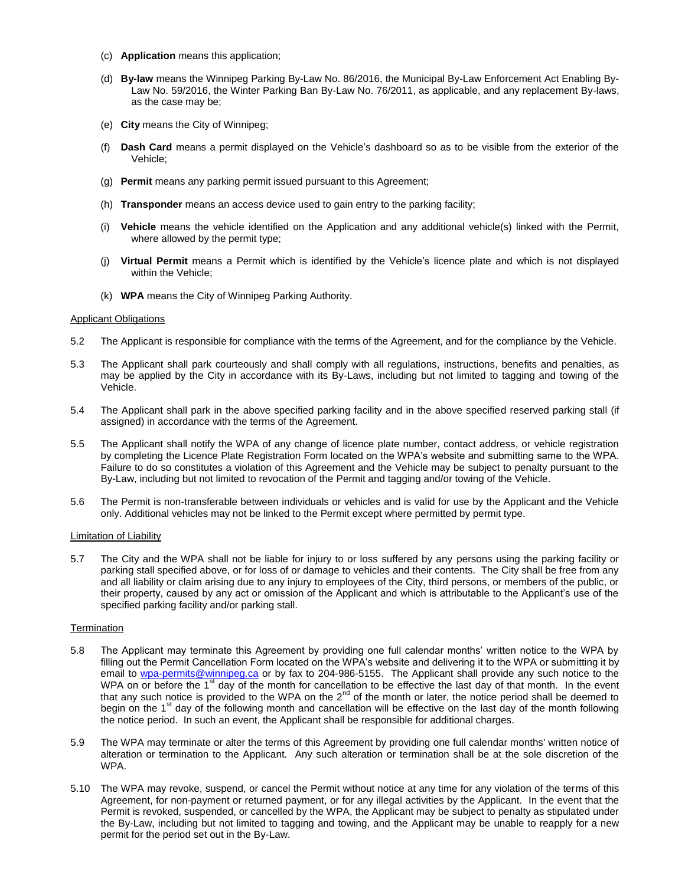- (c) **Application** means this application;
- (d) **By-law** means the Winnipeg Parking By-Law No. 86/2016, the Municipal By-Law Enforcement Act Enabling By-Law No. 59/2016, the Winter Parking Ban By-Law No. 76/2011, as applicable, and any replacement By-laws, as the case may be;
- (e) **City** means the City of Winnipeg;
- (f) **Dash Card** means a permit displayed on the Vehicle's dashboard so as to be visible from the exterior of the Vehicle;
- (g) **Permit** means any parking permit issued pursuant to this Agreement;
- (h) **Transponder** means an access device used to gain entry to the parking facility;
- (i) **Vehicle** means the vehicle identified on the Application and any additional vehicle(s) linked with the Permit, where allowed by the permit type;
- (j) **Virtual Permit** means a Permit which is identified by the Vehicle's licence plate and which is not displayed within the Vehicle;
- (k) **WPA** means the City of Winnipeg Parking Authority.

## Applicant Obligations

- 5.2 The Applicant is responsible for compliance with the terms of the Agreement, and for the compliance by the Vehicle.
- 5.3 The Applicant shall park courteously and shall comply with all regulations, instructions, benefits and penalties, as may be applied by the City in accordance with its By-Laws, including but not limited to tagging and towing of the Vehicle.
- 5.4 The Applicant shall park in the above specified parking facility and in the above specified reserved parking stall (if assigned) in accordance with the terms of the Agreement.
- 5.5 The Applicant shall notify the WPA of any change of licence plate number, contact address, or vehicle registration by completing the Licence Plate Registration Form located on the WPA's website and submitting same to the WPA. Failure to do so constitutes a violation of this Agreement and the Vehicle may be subject to penalty pursuant to the By-Law, including but not limited to revocation of the Permit and tagging and/or towing of the Vehicle.
- 5.6 The Permit is non-transferable between individuals or vehicles and is valid for use by the Applicant and the Vehicle only. Additional vehicles may not be linked to the Permit except where permitted by permit type.

## Limitation of Liability

5.7 The City and the WPA shall not be liable for injury to or loss suffered by any persons using the parking facility or parking stall specified above, or for loss of or damage to vehicles and their contents. The City shall be free from any and all liability or claim arising due to any injury to employees of the City, third persons, or members of the public, or their property, caused by any act or omission of the Applicant and which is attributable to the Applicant's use of the specified parking facility and/or parking stall.

## **Termination**

- 5.8 The Applicant may terminate this Agreement by providing one full calendar months' written notice to the WPA by filling out the Permit Cancellation Form located on the WPA's website and delivering it to the WPA or submitting it by email to [wpa-permits@winnipeg.ca](mailto:wpa-permits@winnipeg.ca) or by fax to 204-986-5155. The Applicant shall provide any such notice to the WPA on or before the 1<sup>st</sup> day of the month for cancellation to be effective the last day of that month. In the event that any such notice is provided to the WPA on the  $2^{nd}$  of the month or later, the notice period shall be deemed to begin on the 1<sup>st</sup> day of the following month and cancellation will be effective on the last day of the month following the notice period. In such an event, the Applicant shall be responsible for additional charges.
- 5.9 The WPA may terminate or alter the terms of this Agreement by providing one full calendar months' written notice of alteration or termination to the Applicant. Any such alteration or termination shall be at the sole discretion of the WPA.
- 5.10 The WPA may revoke, suspend, or cancel the Permit without notice at any time for any violation of the terms of this Agreement, for non-payment or returned payment, or for any illegal activities by the Applicant. In the event that the Permit is revoked, suspended, or cancelled by the WPA, the Applicant may be subject to penalty as stipulated under the By-Law, including but not limited to tagging and towing, and the Applicant may be unable to reapply for a new permit for the period set out in the By-Law.